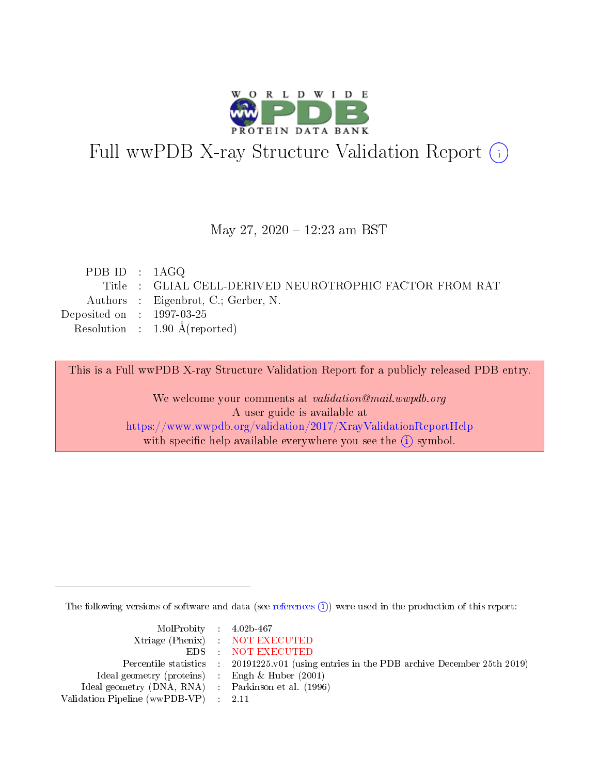

# Full wwPDB X-ray Structure Validation Report (i)

#### May 27, 2020 - 12:23 am BST

| PDB ID : $1AGQ$             |                                                         |
|-----------------------------|---------------------------------------------------------|
|                             | Title : GLIAL CELL-DERIVED NEUROTROPHIC FACTOR FROM RAT |
|                             | Authors : Eigenbrot, C.; Gerber, N.                     |
| Deposited on : $1997-03-25$ |                                                         |
|                             | Resolution : $1.90 \text{ Å}$ (reported)                |
|                             |                                                         |

This is a Full wwPDB X-ray Structure Validation Report for a publicly released PDB entry.

We welcome your comments at validation@mail.wwpdb.org A user guide is available at <https://www.wwpdb.org/validation/2017/XrayValidationReportHelp> with specific help available everywhere you see the  $(i)$  symbol.

The following versions of software and data (see [references](https://www.wwpdb.org/validation/2017/XrayValidationReportHelp#references)  $\overline{(1)}$ ) were used in the production of this report:

| $MolProbability$ 4.02b-467                          |                                                                                            |
|-----------------------------------------------------|--------------------------------------------------------------------------------------------|
|                                                     | Xtriage (Phenix) NOT EXECUTED                                                              |
|                                                     | EDS NOT EXECUTED                                                                           |
|                                                     | Percentile statistics : 20191225.v01 (using entries in the PDB archive December 25th 2019) |
| Ideal geometry (proteins) :                         | Engh & Huber $(2001)$                                                                      |
| Ideal geometry (DNA, RNA) : Parkinson et al. (1996) |                                                                                            |
| Validation Pipeline (wwPDB-VP) : 2.11               |                                                                                            |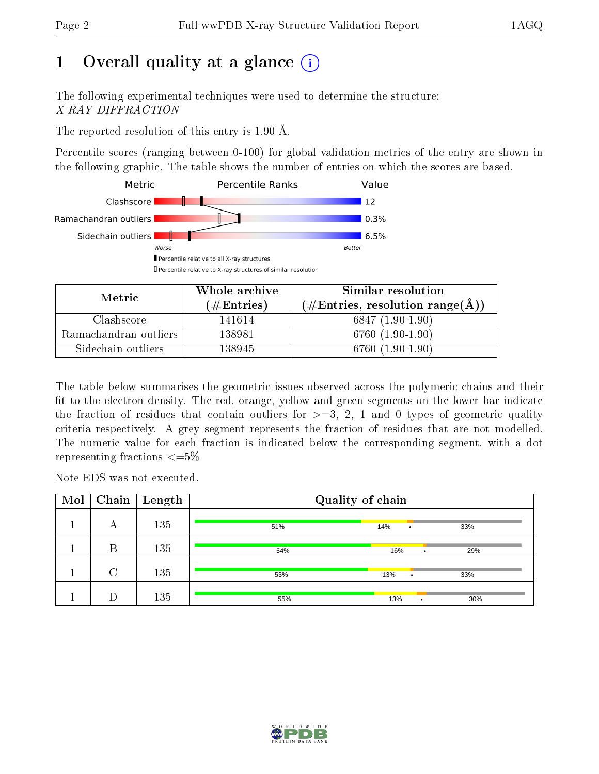# 1 [O](https://www.wwpdb.org/validation/2017/XrayValidationReportHelp#overall_quality)verall quality at a glance  $(i)$

The following experimental techniques were used to determine the structure: X-RAY DIFFRACTION

The reported resolution of this entry is 1.90  $\AA$ .

Percentile scores (ranging between 0-100) for global validation metrics of the entry are shown in the following graphic. The table shows the number of entries on which the scores are based.



| Metric                | Whole archive<br>(# $\rm{Entries}$ ) | Similar resolution<br>$(\#\text{Entries}, \text{resolution range}(\text{\AA})$ |
|-----------------------|--------------------------------------|--------------------------------------------------------------------------------|
| Clashscore            | 141614                               | $6847(1.90-1.90)$                                                              |
| Ramachandran outliers | 138981                               | 6760 (1.90-1.90)                                                               |
| Sidechain outliers    | 138945                               | 6760 (1.90-1.90)                                                               |

The table below summarises the geometric issues observed across the polymeric chains and their fit to the electron density. The red, orange, yellow and green segments on the lower bar indicate the fraction of residues that contain outliers for  $\geq=3$ , 2, 1 and 0 types of geometric quality criteria respectively. A grey segment represents the fraction of residues that are not modelled. The numeric value for each fraction is indicated below the corresponding segment, with a dot representing fractions  $\leq=5\%$ 

Note EDS was not executed.

| Mol | Chain  | $\mathbf{Length}$ | Quality of chain |     |           |           |     |  |
|-----|--------|-------------------|------------------|-----|-----------|-----------|-----|--|
|     | А      | 135               | 51%              | 14% | ٠         |           | 33% |  |
|     | B      | 135               | 54%              | 16% |           | $\bullet$ | 29% |  |
|     | $\cap$ | 135               | 53%              | 13% | ٠         |           | 33% |  |
|     |        | 135               | 55%              | 13% | $\bullet$ |           | 30% |  |

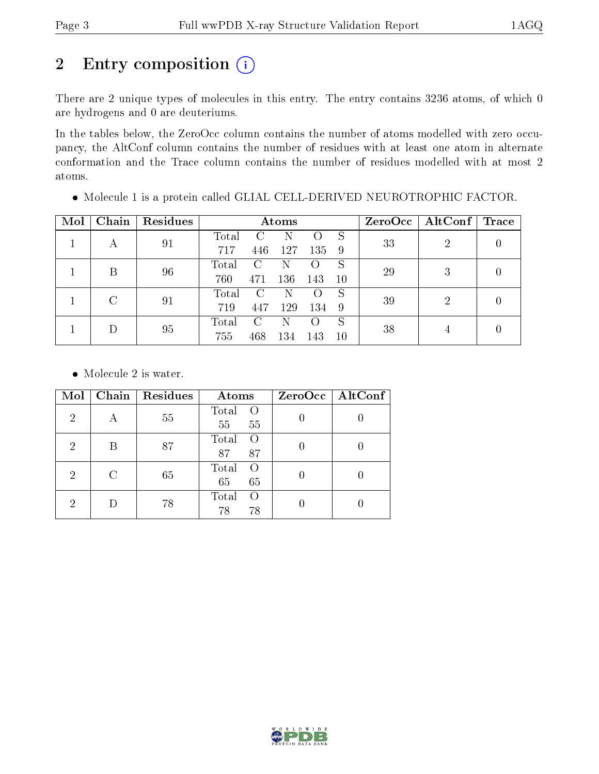# 2 Entry composition (i)

There are 2 unique types of molecules in this entry. The entry contains 3236 atoms, of which 0 are hydrogens and 0 are deuteriums.

In the tables below, the ZeroOcc column contains the number of atoms modelled with zero occupancy, the AltConf column contains the number of residues with at least one atom in alternate conformation and the Trace column contains the number of residues modelled with at most 2 atoms.

| Mol | Chain | Residues |       |               | Atoms |                    |    |    | $ZeroOcc \mid AltConf \mid$ | $\operatorname{Trace}$ |
|-----|-------|----------|-------|---------------|-------|--------------------|----|----|-----------------------------|------------------------|
|     |       | 91       | Total |               | N     | 0                  | S  | 33 | 2                           |                        |
|     | А     |          | 717   | 446           | 127   | 135                | 9  |    |                             |                        |
|     | В     | 96       | Total | $\mathcal{C}$ |       | ( )                | S  | 29 | 3                           |                        |
|     |       |          | 760   | 471           | 136   | 143                | 10 |    |                             |                        |
|     |       | 91       | Total | C             | N     | $\left( \ \right)$ | S  |    | 2                           |                        |
|     |       | 719      | 447   | 129           | 134   | 9                  | 39 |    |                             |                        |
|     |       |          | Total | $\mathcal{C}$ | N     | $\left( \ \right)$ | S  | 38 |                             |                        |
|     |       | 95       | 755   | 468           | 134   | 143                | 10 |    |                             |                        |

Molecule 1 is a protein called GLIAL CELL-DERIVED NEUROTROPHIC FACTOR.

• Molecule 2 is water.

| Mol            | Chain | Residues | Atoms                                 | ZeroOcc   AltConf |
|----------------|-------|----------|---------------------------------------|-------------------|
| $\overline{2}$ | А     | 55       | Total<br>$\Omega$<br>55<br>55         |                   |
| 2              |       | 87       | Total<br>$\bigcap$<br>87<br>87        |                   |
| 2              | C     | 65       | Total<br>$\left( \right)$<br>65<br>65 |                   |
| 2              |       | 78       | Total<br>$\left( \right)$<br>78<br>78 |                   |

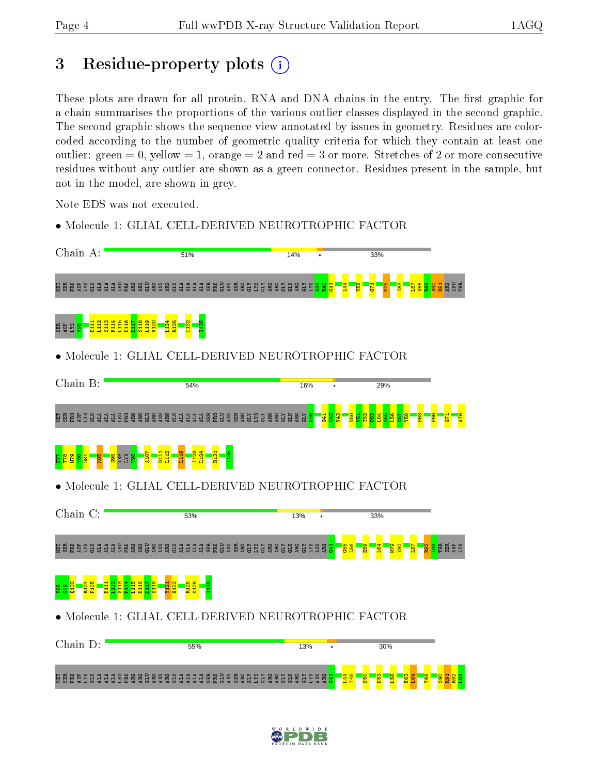# 3 Residue-property plots (i)

These plots are drawn for all protein, RNA and DNA chains in the entry. The first graphic for a chain summarises the proportions of the various outlier classes displayed in the second graphic. The second graphic shows the sequence view annotated by issues in geometry. Residues are colorcoded according to the number of geometric quality criteria for which they contain at least one outlier: green  $= 0$ , yellow  $= 1$ , orange  $= 2$  and red  $= 3$  or more. Stretches of 2 or more consecutive residues without any outlier are shown as a green connector. Residues present in the sample, but not in the model, are shown in grey.

Note EDS was not executed.

• Molecule 1: GLIAL CELL-DERIVED NEUROTROPHIC FACTOR

| Chain A:                                                                                                  | 51%                                                                | 14%                   | 33%                        |
|-----------------------------------------------------------------------------------------------------------|--------------------------------------------------------------------|-----------------------|----------------------------|
| <u> គីម្តីមន្តដូច្និក្នុកម្ម មិនទីនីទីទីក្នុក្នុក្នុក្នុម្ពិទ្ធិមិនទីនីទីនីទីទីនីទីទីនីទីនីទីនីទីនីទី</u> |                                                                    |                       | 888<br>889                 |
| enda<br>Engeland<br>enra<br>Experi<br>$\frac{11}{2}$<br>ន្ទ្រប                                            |                                                                    |                       |                            |
| Molecule 1: GLIAL CELL-DERIVED NEUROTROPHIC FACTOR                                                        |                                                                    |                       |                            |
| Chain B:                                                                                                  | 54%                                                                | 16%                   | 29%                        |
| <b>A B B B C S S S E E</b><br><b>AAR</b><br><b>RES</b><br><b>AGE</b>                                      | 188348<br>ਕ ਜ<br>ăЭ<br>크<br>圅<br>圅<br>님<br>님                       | <b>SER</b><br>E       |                            |
| <b>D<sub>11</sub></b><br>SAT<br>1SP                                                                       |                                                                    |                       |                            |
| Molecule 1: GLIAL CELL-DERIVED NEUROTROPHIC FACTOR                                                        |                                                                    |                       |                            |
| Chain C:                                                                                                  | 53%                                                                | 13%                   | 33%                        |
| <b>A R R R R R R R R</b><br>ALA<br>ALA<br>평범<br><b>AG</b><br>$\tilde{5}$                                  | <b>PRO</b><br><b>ER</b><br>58<br>CLY<br>Ę<br>ష<br>뵤<br>ă<br>횭<br>Ē | g<br>SX.<br>ស្គា<br>ស | <b><u>g s</u> fe g g s</b> |
| <b>BHHHH</b><br>BHHH                                                                                      |                                                                    |                       |                            |
| • Molecule 1: GLIAL CELL-DERIVED NEUROTROPHIC FACTOR                                                      |                                                                    |                       |                            |
| Chain D:                                                                                                  | 55%                                                                | 13%                   | 30%                        |
| <b>EC</b><br><b>RG</b><br>ě<br>Ě                                                                          | <b>RUŠAŠI</b><br>មិន្ទ<br><b>SAT</b><br>Ě<br>Ě                     |                       |                            |

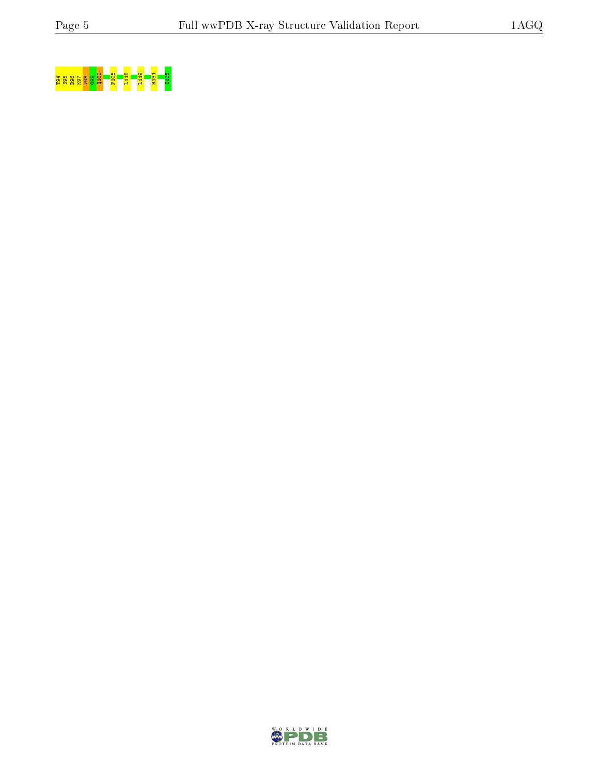

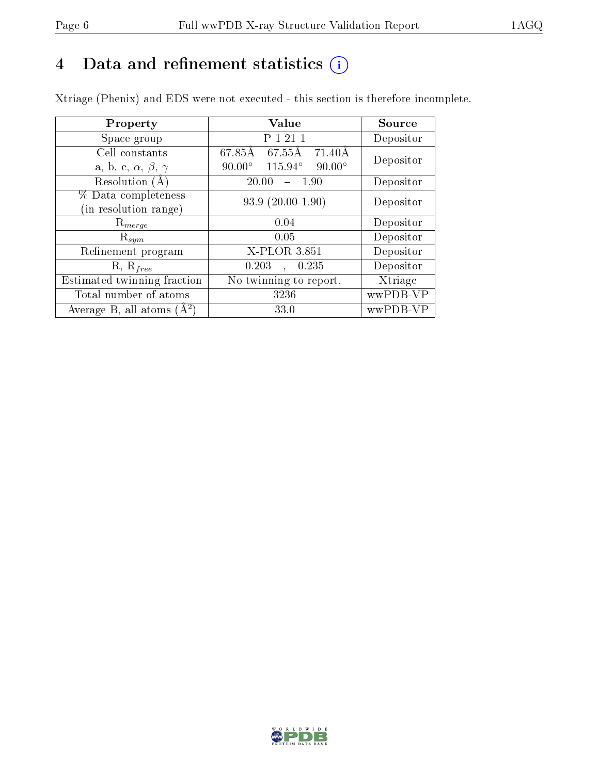# 4 Data and refinement statistics  $(i)$

Xtriage (Phenix) and EDS were not executed - this section is therefore incomplete.

| Property                               | Value                                                        | Source    |  |
|----------------------------------------|--------------------------------------------------------------|-----------|--|
| Space group                            | P 1 21 1                                                     | Depositor |  |
| Cell constants                         | $\overline{67.85\mathrm{A}} \quad 67.55\mathrm{A}$<br>71.40Å | Depositor |  |
| a, b, c, $\alpha$ , $\beta$ , $\gamma$ | 115.94°<br>$90.00^\circ$<br>$90.00^\circ$                    |           |  |
| Resolution $(A)$                       | 20.00<br>1.90                                                | Depositor |  |
| % Data completeness                    | $93.9(20.00-1.90)$                                           | Depositor |  |
| (in resolution range)                  |                                                              |           |  |
| $R_{merge}$                            | 0.04                                                         | Depositor |  |
| $\mathrm{R}_{sym}$                     | 0.05                                                         | Depositor |  |
| Refinement program                     | X-PLOR 3.851                                                 | Depositor |  |
| $R, R_{free}$                          | 0.203<br>0.235<br>$\mathbf{A}$                               | Depositor |  |
| Estimated twinning fraction            | No twinning to report.                                       | Xtriage   |  |
| Total number of atoms                  | 3236                                                         | wwPDB-VP  |  |
| Average B, all atoms $(A^2)$           | 33.0                                                         | wwPDB-VP  |  |

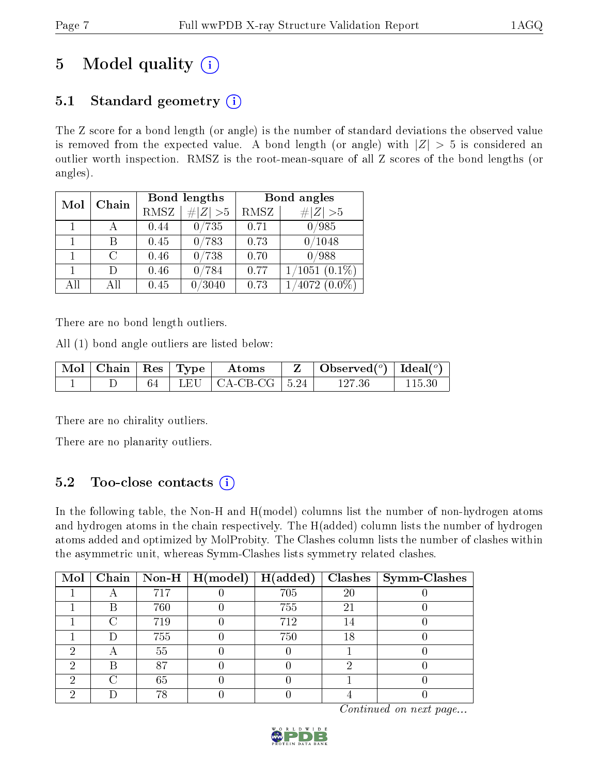# 5 Model quality  $(i)$

# 5.1 Standard geometry  $(i)$

The Z score for a bond length (or angle) is the number of standard deviations the observed value is removed from the expected value. A bond length (or angle) with  $|Z| > 5$  is considered an outlier worth inspection. RMSZ is the root-mean-square of all Z scores of the bond lengths (or angles).

| Mol | Chain  |      | Bond lengths      | Bond angles |                    |  |
|-----|--------|------|-------------------|-------------|--------------------|--|
|     |        | RMSZ | $\# Z  > 5$       | RMSZ        | $\# Z  > 5$        |  |
|     |        | 0.44 | 0/735             | 0.71        | 0/985              |  |
|     | В      | 0.45 | 0/783             | 0.73        | 0/1048             |  |
|     | $\cap$ | 0.46 | 0/738             | 0.70        | 0/988              |  |
|     | Ð      | 0.46 | 0/784             | 0.77        | $1/1051$ $(0.1\%)$ |  |
| All | Αll    | 0.45 | $^\prime\!\!3040$ | 0.73        | $'4072~(0.0\%)$    |  |

There are no bond length outliers.

All (1) bond angle outliers are listed below:

| $\mid$ Mol $\mid$ Chain $\mid$ Res $\mid$ Type $\mid$ |  | Atoms                                             | $\vert$ Observed $(^\circ)$ $\vert$ Ideal $(^\circ)$ |  |
|-------------------------------------------------------|--|---------------------------------------------------|------------------------------------------------------|--|
|                                                       |  | $\perp$ LEU $\parallel$ CA-CB-CG $\parallel$ 5.24 |                                                      |  |

There are no chirality outliers.

There are no planarity outliers.

## 5.2 Too-close contacts  $\overline{()}$

In the following table, the Non-H and H(model) columns list the number of non-hydrogen atoms and hydrogen atoms in the chain respectively. The H(added) column lists the number of hydrogen atoms added and optimized by MolProbity. The Clashes column lists the number of clashes within the asymmetric unit, whereas Symm-Clashes lists symmetry related clashes.

| Mol |   |     | $\boxed{\text{Chain} \mid \text{Non-H} \mid \text{H}(\text{model})}$ | H(added) |    | $Clashes$   Symm-Clashes |
|-----|---|-----|----------------------------------------------------------------------|----------|----|--------------------------|
|     |   | 717 |                                                                      | 705      | 20 |                          |
|     | В | 760 |                                                                      | 755      | 21 |                          |
|     |   | 719 |                                                                      | 712      |    |                          |
|     |   | 755 |                                                                      | 750      | 18 |                          |
| റ   |   | 55  |                                                                      |          |    |                          |
|     | R | 87  |                                                                      |          |    |                          |
|     |   | 65  |                                                                      |          |    |                          |
|     |   |     |                                                                      |          |    |                          |

Continued on next page...

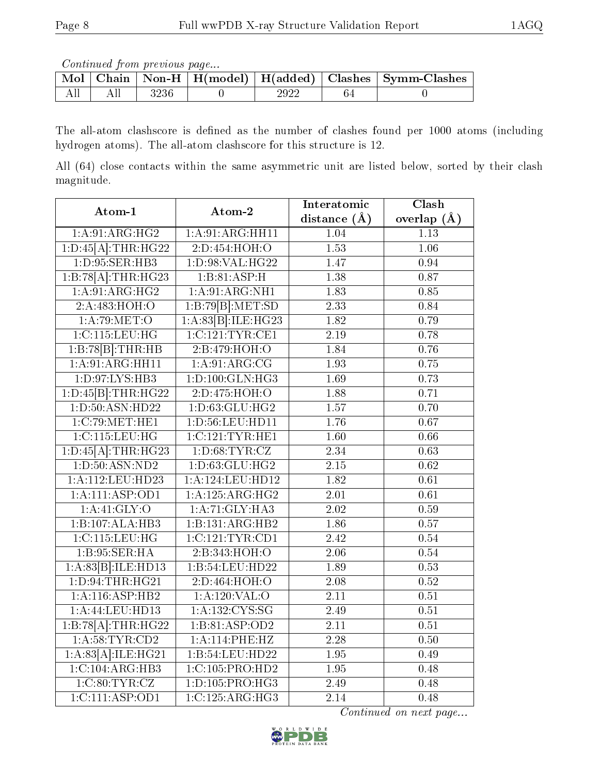Continued from previous page...

|  |      |  | Mol   Chain   Non-H   H(model)   H(added)   Clashes   Symm-Clashes |
|--|------|--|--------------------------------------------------------------------|
|  | 3236 |  |                                                                    |

The all-atom clashscore is defined as the number of clashes found per 1000 atoms (including hydrogen atoms). The all-atom clashscore for this structure is 12.

All (64) close contacts within the same asymmetric unit are listed below, sorted by their clash magnitude.

| Atom-1                      | Atom-2              | Interatomic       | Clash             |  |
|-----------------------------|---------------------|-------------------|-------------------|--|
|                             |                     | distance $(A)$    | overlap $(\AA)$   |  |
| 1:A.91:ARG:HG2              | 1: A:91: ARG:HH11   | 1.04              | 1.13              |  |
| 1:D:45[A]:THR:HG22          | 2:D:454:HOH:O       | $\overline{1.53}$ | $\overline{1.06}$ |  |
| 1: D: 95: SER: HB3          | 1:D:98:VAL:HG22     | 1.47              | 0.94              |  |
| 1:B:78[A]:THR:HG23          | 1:B:81:ASP:H        | 1.38              | 0.87              |  |
| 1:A.91:ARG:HG2              | 1: A:91:ARG:NH1     | 1.83              | $0.85\,$          |  |
| 2:A:483:HOH:O               | 1:B:79[B]:MET:SD    | $\overline{2.33}$ | 0.84              |  |
| 1: A:79: MET:O              | 1:A:83[B]:ILE:HG23  | 1.82              | 0.79              |  |
| 1:C:115:LEU:HG              | 1:C:121:TYR:CE1     | 2.19              | 0.78              |  |
| 1:B:78[B]:THR:HB            | 2: B:479:HOH:O      | 1.84              | 0.76              |  |
| 1:A:91:ARG:HH11             | 1:A:91:ARG:CG       | $\overline{1.93}$ | 0.75              |  |
| 1: D: 97: LYS: HB3          | 1: D: 100: GLN: HG3 | $\overline{1.69}$ | 0.73              |  |
| 1:D:45[B]:THR:HG22          | 2:D:475:HOH:O       | 1.88              | 0.71              |  |
| 1: D: 50: ASN: HD22         | 1: D:63: GLU: HG2   | 1.57              | 0.70              |  |
| 1:C:79:MET:HE1              | 1:D:56:LEU:HD11     | $\overline{1.76}$ | 0.67              |  |
| 1:C:115:LEU:HG              | 1:C:121:TYR:HE1     | 1.60              | 0.66              |  |
| $1:D:45[A]:\text{THR}:HG23$ | 1: D:68: TYR: CZ    | $\overline{2.34}$ | 0.63              |  |
| 1: D: 50: ASN: ND2          | 1:D:63:GLU:HG2      | $\overline{2.15}$ | 0.62              |  |
| 1:A:112:LEU:HD23            | 1:A:124:LEU:HD12    | 1.82              | 0.61              |  |
| 1:A:111:ASP:OD1             | 1:A:125:ARG:HG2     | $\overline{2.01}$ | 0.61              |  |
| 1:A:41:GLY:O                | 1:A:71:GLY:HA3      | $\overline{2.02}$ | 0.59              |  |
| 1:B:107:ALA:HB3             | 1:B:131:ARG:HB2     | 1.86              | 0.57              |  |
| 1:C:115:LEU:HG              | 1:C:121:TYR:CD1     | 2.42              | $0.54\,$          |  |
| 1: B:95: SER:HA             | 2:B:343:HOH:O       | $\overline{2.06}$ | 0.54              |  |
| 1:A:83[B]:ILE:HD13          | 1:B:54:LEU:HD22     | 1.89              | 0.53              |  |
| 1:D:94:THR:HG21             | 2:D:464:HOH:O       | 2.08              | 0.52              |  |
| $1:A:116:$ ASP: HB2         | 1:A:120:VAL:O       | $\overline{2.11}$ | 0.51              |  |
| 1:A:44:LEU:HD13             | 1: A: 132: CYS: SG  | 2.49              | 0.51              |  |
| 1:B:78[A]:THR:HG22          | 1: B:81: ASP:OD2    | $\overline{2.11}$ | 0.51              |  |
| 1: A:58:TYR:CD2             | 1:A:114:PHE:HZ      | 2.28              | 0.50              |  |
| 1:A:83[A]:ILE:HG21          | 1:B:54:LEU:HD22     | 1.95              | 0.49              |  |
| 1:C:104:ARG:HB3             | 1:C:105:PRO:HD2     | 1.95              | 0.48              |  |
| 1:C:80:TYR:CZ               | 1:D:105:PRO:HG3     | 2.49              | 0.48              |  |
| 1:C:111:ASP:OD1             | 1:C:125:ARG:HG3     | $\overline{2.14}$ | 0.48              |  |

Continued on next page...

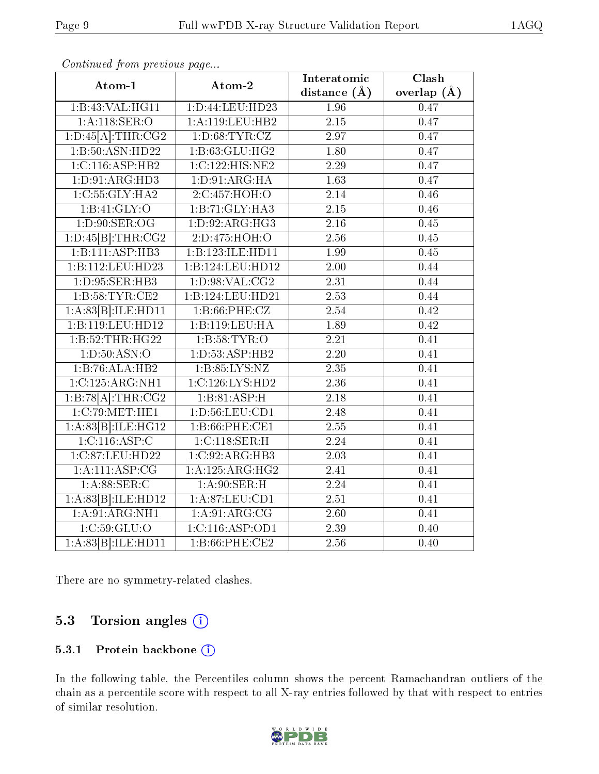| Atom-1                                     | Atom-2             | Interatomic       | $\overline{\text{Clash}}$ |
|--------------------------------------------|--------------------|-------------------|---------------------------|
|                                            |                    | distance $(\AA)$  | overlap $(\AA)$           |
| 1:B:43:VAL:HG11                            | 1:D:44:LEU:HD23    | 1.96              | 0.47                      |
| 1:A:118:SER:O                              | 1:A:119:LEU:HB2    | $\overline{2.15}$ | 0.47                      |
| $1:D:45[A]:\text{THR}:CG2$                 | 1: D:68: TYR: CZ   | 2.97              | 0.47                      |
| 1:B:50:ASN:HD22                            | 1:B:63:GLU:HG2     | 1.80              | 0.47                      |
| 1:C:116:ASP:HB2                            | 1:C:122:HIS:NE2    | 2.29              | 0.47                      |
| 1:D:91:ARG:HD3                             | 1: D:91: ARG:HA    | 1.63              | 0.47                      |
| 1:C:55:GLY:HA2                             | 2:C:457:HOH:O      | $\overline{2.14}$ | 0.46                      |
| 1:B:41:GLY:O                               | 1:B:71:GLY:HA3     | 2.15              | 0.46                      |
| 1: D:90: SER:OG                            | 1: D: 92: ARG: HG3 | $\overline{2.16}$ | 0.45                      |
| 1:D:45[B]:THR:CG2                          | 2:D:475:HOH:O      | 2.56              | 0.45                      |
| 1:B:111:ASP:HB3                            | 1:B:123:ILE:HD11   | 1.99              | 0.45                      |
| 1:B:112:LEU:HD23                           | 1:B:124:LEU:HD12   | $\overline{2.00}$ | 0.44                      |
| 1: D: 95: SER: HB3                         | 1: D:98: VAL: CG2  | 2.31              | 0.44                      |
| 1: B:58:TYR:CE2                            | 1:B:124:LEU:HD21   | $\overline{2.53}$ | 0.44                      |
| $1:A:83[B]:\!\!{\rm ILE:HD11}$             | 1: B:66:PHE:CZ     | 2.54              | 0.42                      |
| 1:B:119:LEU:HD12                           | 1:B:119:LEU:HA     | 1.89              | $\overline{0.42}$         |
| 1:B:52:THR:HG22                            | 1:B:58:TYR:O       | 2.21              | 0.41                      |
| 1: D: 50: ASN: O                           | 1: D: 53: ASP: HB2 | $\overline{2.20}$ | 0.41                      |
| 1:B:76:ALA:HB2                             | 1: B: 85: LYS: NZ  | $\overline{2.35}$ | 0.41                      |
| 1:C:125:ARG:NH1                            | 1:C:126:LYS:HD2    | 2.36              | 0.41                      |
| 1:B:78[A]:THR:CG2                          | 1:B:81:ASP:H       | 2.18              | 0.41                      |
| 1:C:79:MET:HE1                             | 1: D: 56: LEU: CD1 | 2.48              | 0.41                      |
| 1:A:83[B]:ILE:HG12                         | $1: B:66:$ PHE:CE1 | $\overline{2.55}$ | 0.41                      |
| 1:C:116:ASP:C                              | 1:C:118:SER:H      | 2.24              | 0.41                      |
| 1:C:87:LEU:HD22                            | 1:C:92:ARG:HB3     | 2.03              | 0.41                      |
| 1: A: 111: ASP: CG                         | 1:A:125:ARG:HG2    | 2.41              | 0.41                      |
| 1: A:88: SER: C                            | 1: A:90: SER:H     | $\overline{2.24}$ | 0.41                      |
| $1:A:83[\overline{B}]\overline{.!LE:HD12}$ | 1: A:87: LEU:CD1   | 2.51              | 0.41                      |
| 1: A:91: ARG:NH1                           | 1: A:91: ARG:CG    | $\overline{2.60}$ | 0.41                      |
| 1:C:59:GLU:O                               | 1:C:116:ASP:OD1    | 2.39              | 0.40                      |
| 1:A:83[B]:ILE:HD11                         | $1: B:66:$ PHE:CE2 | $\overline{2.56}$ | $\overline{0.40}$         |

Continued from previous page...

There are no symmetry-related clashes.

### 5.3 Torsion angles (i)

#### 5.3.1 Protein backbone (i)

In the following table, the Percentiles column shows the percent Ramachandran outliers of the chain as a percentile score with respect to all X-ray entries followed by that with respect to entries of similar resolution.

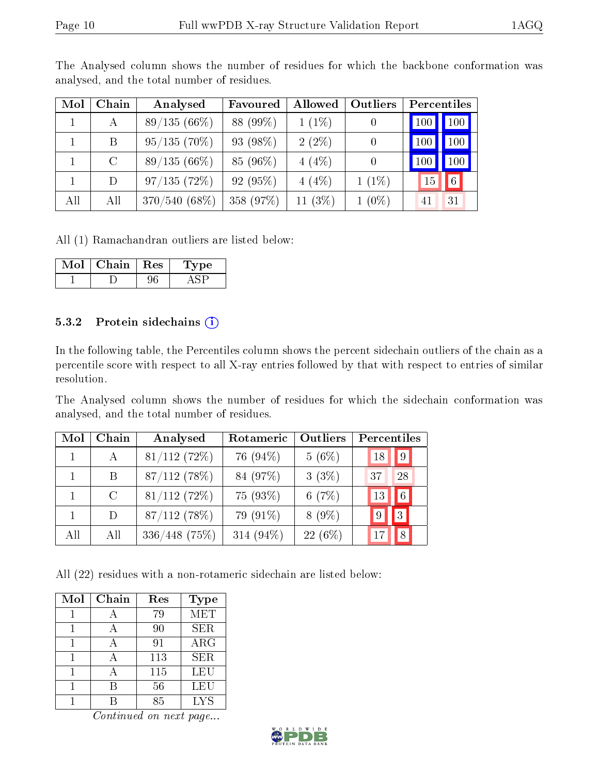| Mol | Chain   | Analysed       | Favoured    | Allowed   | <b>Outliers</b> | Percentiles |     |
|-----|---------|----------------|-------------|-----------|-----------------|-------------|-----|
|     | А       | $89/135(66\%)$ | 88 (99%)    | $1(1\%)$  |                 | 100         | 100 |
|     | B       | $95/135(70\%)$ | 93 $(98\%)$ | $2(2\%)$  | $\overline{0}$  | 100         | 100 |
|     | $\rm C$ | $89/135(66\%)$ | 85 (96%)    | 4(4%)     |                 | 100         | 100 |
|     | D       | 97/135(72%)    | 92(95%)     | 4(4%)     | $1(1\%)$        | 15          | 6   |
| All | All     | 370/540 (68%)  | 358 (97%)   | 11 $(3%)$ | $1(0\%)$        | 41          | 31  |

The Analysed column shows the number of residues for which the backbone conformation was analysed, and the total number of residues.

All (1) Ramachandran outliers are listed below:

| Mol | Chain | $\operatorname{Res}$ | pе |
|-----|-------|----------------------|----|
|     |       |                      |    |

#### 5.3.2 Protein sidechains (i)

In the following table, the Percentiles column shows the percent sidechain outliers of the chain as a percentile score with respect to all X-ray entries followed by that with respect to entries of similar resolution.

The Analysed column shows the number of residues for which the sidechain conformation was analysed, and the total number of residues.

| Mol | Chain   | Analysed        | Rotameric    | <b>Outliers</b> | Percentiles |                |
|-----|---------|-----------------|--------------|-----------------|-------------|----------------|
|     | А       | 81/112(72%)     | 76 (94%)     | $5(6\%)$        | 18          | $ 9\rangle$    |
|     | Β       | $87/112$ (78%)  | 84 (97%)     | $3(3\%)$        | 37          | 28             |
|     | $\rm C$ | $81/112$ (72%)  | 75 (93%)     | 6(7%)           | 13          | $\sqrt{6}$     |
|     | D       | 87/112(78%)     | 79 (91%)     | $8(9\%)$        |             | 3 <sup>2</sup> |
| All | All     | $336/448$ (75%) | 314 $(94\%)$ | $22(6\%)$       |             | 8              |

All (22) residues with a non-rotameric sidechain are listed below:

| Mol | Chain | Res | <b>Type</b> |
|-----|-------|-----|-------------|
|     |       | 79  | <b>MET</b>  |
|     |       | 90  | <b>SER</b>  |
|     |       | 91  | $\rm{ARG}$  |
|     |       | 113 | <b>SER</b>  |
|     |       | 115 | LEU         |
|     | R     | 56  | LEU         |
|     |       | 85  | <b>LYS</b>  |

Continued on next page...

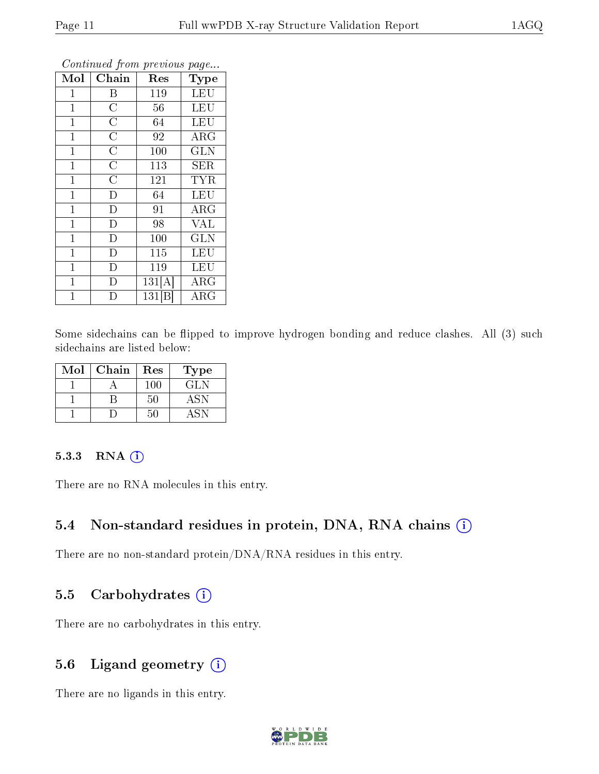| Mol          | Chain              | Res    | Type       |
|--------------|--------------------|--------|------------|
| $\mathbf{1}$ | $\boldsymbol{B}$   | 119    | <b>LEU</b> |
| $\mathbf 1$  | $\overline{C}$     | 56     | <b>LEU</b> |
| $\mathbf{1}$ | $\overline{\rm C}$ | 64     | LEU        |
| $\mathbf{1}$ | $\overline{\rm C}$ | 92     | $\rm{ARG}$ |
| $\mathbf 1$  | $\overline{\rm C}$ | 100    | <b>GLN</b> |
| $\mathbf{1}$ | $\overline{C}$     | 113    | <b>SER</b> |
| $\mathbf{1}$ | $\overline{\rm C}$ | 121    | <b>TYR</b> |
| $\mathbf{1}$ | $\overline{D}$     | 64     | <b>LEU</b> |
| $\mathbf{1}$ | D                  | 91     | $\rm{ARG}$ |
| $\mathbf 1$  | D                  | 98     | <b>VAL</b> |
| $\mathbf{1}$ | $\overline{D}$     | 100    | <b>GLN</b> |
| $\mathbf 1$  | D                  | 115    | <b>LEU</b> |
| $\mathbf{1}$ | D                  | 119    | LEU        |
| $\mathbf{1}$ | D                  | 131[A] | $\rm{ARG}$ |
| 1            | D                  | 131 B  | $\rm{ARG}$ |

Continued from previous page...

Some sidechains can be flipped to improve hydrogen bonding and reduce clashes. All (3) such sidechains are listed below:

| Mol | Chain | Res | 'Type |
|-----|-------|-----|-------|
|     |       | 100 | GL N  |
|     |       | 50  |       |
|     |       |     |       |

#### 5.3.3 RNA (i)

There are no RNA molecules in this entry.

### 5.4 Non-standard residues in protein, DNA, RNA chains (i)

There are no non-standard protein/DNA/RNA residues in this entry.

#### 5.5 Carbohydrates  $(i)$

There are no carbohydrates in this entry.

### 5.6 Ligand geometry  $(i)$

There are no ligands in this entry.

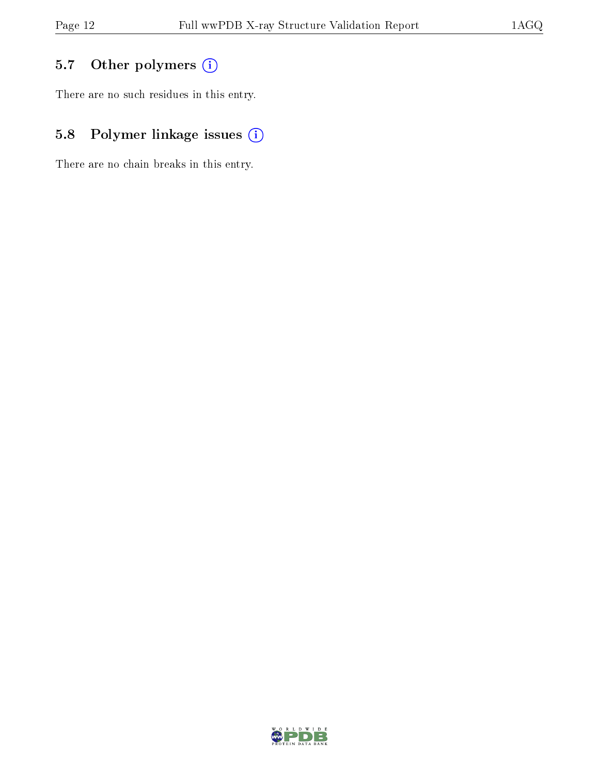# 5.7 [O](https://www.wwpdb.org/validation/2017/XrayValidationReportHelp#nonstandard_residues_and_ligands)ther polymers (i)

There are no such residues in this entry.

# 5.8 Polymer linkage issues (i)

There are no chain breaks in this entry.